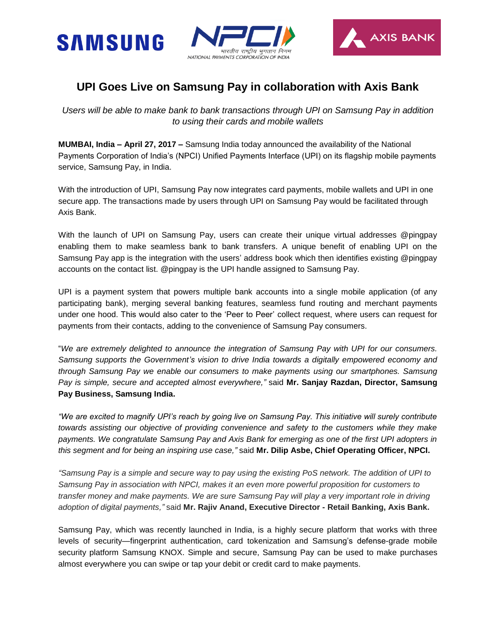





## **UPI Goes Live on Samsung Pay in collaboration with Axis Bank**

*Users will be able to make bank to bank transactions through UPI on Samsung Pay in addition to using their cards and mobile wallets*

**MUMBAI, India – April 27, 2017 –** Samsung India today announced the availability of the National Payments Corporation of India's (NPCI) Unified Payments Interface (UPI) on its flagship mobile payments service, Samsung Pay, in India.

With the introduction of UPI, Samsung Pay now integrates card payments, mobile wallets and UPI in one secure app. The transactions made by users through UPI on Samsung Pay would be facilitated through Axis Bank.

With the launch of UPI on Samsung Pay, users can create their unique virtual addresses @pingpay enabling them to make seamless bank to bank transfers. A unique benefit of enabling UPI on the Samsung Pay app is the integration with the users' address book which then identifies existing @pingpay accounts on the contact list. @pingpay is the UPI handle assigned to Samsung Pay.

UPI is a payment system that powers multiple bank accounts into a single mobile application (of any participating bank), merging several banking features, seamless fund routing and merchant payments under one hood. This would also cater to the 'Peer to Peer' collect request, where users can request for payments from their contacts, adding to the convenience of Samsung Pay consumers.

"*We are extremely delighted to announce the integration of Samsung Pay with UPI for our consumers. Samsung supports the Government's vision to drive India towards a digitally empowered economy and through Samsung Pay we enable our consumers to make payments using our smartphones. Samsung Pay is simple, secure and accepted almost everywhere,"* said **Mr. Sanjay Razdan, Director, Samsung Pay Business, Samsung India.**

*"We are excited to magnify UPI's reach by going live on Samsung Pay. This initiative will surely contribute towards assisting our objective of providing convenience and safety to the customers while they make payments. We congratulate Samsung Pay and Axis Bank for emerging as one of the first UPI adopters in this segment and for being an inspiring use case,"* said **Mr. Dilip Asbe, Chief Operating Officer, NPCI.**

*"Samsung Pay is a simple and secure way to pay using the existing PoS network. The addition of UPI to Samsung Pay in association with NPCI, makes it an even more powerful proposition for customers to transfer money and make payments. We are sure Samsung Pay will play a very important role in driving adoption of digital payments,"* said **Mr. Rajiv Anand, Executive Director - Retail Banking, Axis Bank.**

Samsung Pay, which was recently launched in India, is a highly secure platform that works with three levels of security—fingerprint authentication, card tokenization and Samsung's defense-grade mobile security platform Samsung KNOX. Simple and secure, Samsung Pay can be used to make purchases almost everywhere you can swipe or tap your debit or credit card to make payments.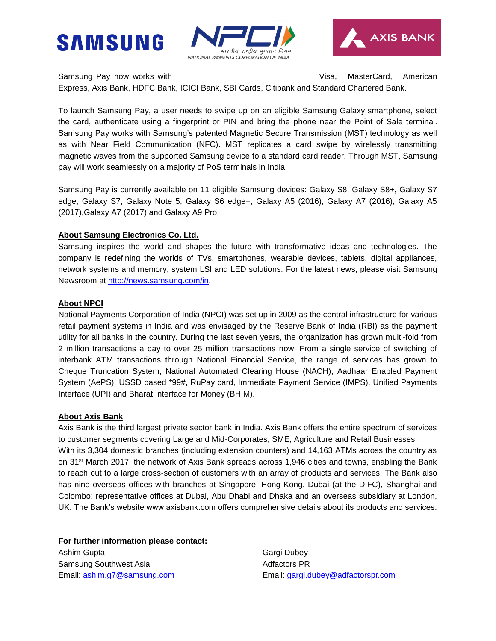





Samsung Pay now works with **Visa, MasterCard, American** 

Express, Axis Bank, HDFC Bank, ICICI Bank, SBI Cards, Citibank and Standard Chartered Bank.

To launch Samsung Pay, a user needs to swipe up on an eligible Samsung Galaxy smartphone, select the card, authenticate using a fingerprint or PIN and bring the phone near the Point of Sale terminal. Samsung Pay works with Samsung's patented Magnetic Secure Transmission (MST) technology as well as with Near Field Communication (NFC). MST replicates a card swipe by wirelessly transmitting magnetic waves from the supported Samsung device to a standard card reader. Through MST, Samsung pay will work seamlessly on a majority of PoS terminals in India.

Samsung Pay is currently available on 11 eligible Samsung devices: Galaxy S8, Galaxy S8+, Galaxy S7 edge, Galaxy S7, Galaxy Note 5, Galaxy S6 edge+, Galaxy A5 (2016), Galaxy A7 (2016), Galaxy A5 (2017),Galaxy A7 (2017) and Galaxy A9 Pro.

## **About Samsung Electronics Co. Ltd.**

Samsung inspires the world and shapes the future with transformative ideas and technologies. The company is redefining the worlds of TVs, smartphones, wearable devices, tablets, digital appliances, network systems and memory, system LSI and LED solutions. For the latest news, please visit Samsung Newsroom at [http://news.samsung.com/in.](http://news.samsung.com/in)

## **About NPCI**

National Payments Corporation of India (NPCI) was set up in 2009 as the central infrastructure for various retail payment systems in India and was envisaged by the Reserve Bank of India (RBI) as the payment utility for all banks in the country. During the last seven years, the organization has grown multi-fold from 2 million transactions a day to over 25 million transactions now. From a single service of switching of interbank ATM transactions through National Financial Service, the range of services has grown to Cheque Truncation System, National Automated Clearing House (NACH), Aadhaar Enabled Payment System (AePS), USSD based \*99#, RuPay card, Immediate Payment Service (IMPS), Unified Payments Interface (UPI) and Bharat Interface for Money (BHIM).

## **About Axis Bank**

Axis Bank is the third largest private sector bank in India. Axis Bank offers the entire spectrum of services to customer segments covering Large and Mid-Corporates, SME, Agriculture and Retail Businesses. With its 3,304 domestic branches (including extension counters) and 14,163 ATMs across the country as on 31st March 2017, the network of Axis Bank spreads across 1,946 cities and towns, enabling the Bank to reach out to a large cross-section of customers with an array of products and services. The Bank also has nine overseas offices with branches at Singapore, Hong Kong, Dubai (at the DIFC), Shanghai and Colombo; representative offices at Dubai, Abu Dhabi and Dhaka and an overseas subsidiary at London, UK. The Bank's website www.axisbank.com offers comprehensive details about its products and services.

**For further information please contact:** 

Ashim Gupta Gargi Dubey Samsung Southwest Asia **Adfactors PR** Adfactors PR

Email: [ashim.g7@samsung.com](mailto:ashim.g7@samsung.com) Email: [gargi.dubey@adfactorspr.com](mailto:gargi.dubey@adfactorspr.com)